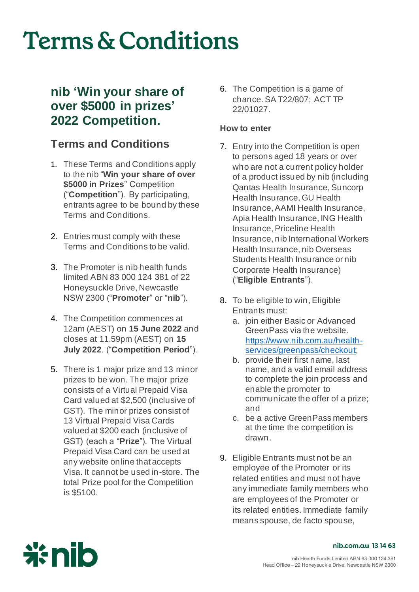### **nib 'Win your share of over \$5000 in prizes' 2022 Competition.**

### **Terms and Conditions**

- 1. These Terms and Conditions apply to the nib "**Win your share of over \$5000 in Prizes**" Competition ("**Competition**"). By participating, entrants agree to be bound by these Terms and Conditions.
- 2. Entries must comply with these Terms and Conditions to be valid.
- 3. The Promoter is nib health funds limited ABN 83 000 124 381 of 22 Honeysuckle Drive, Newcastle NSW 2300 ("**Promoter**" or "**nib**").
- 4. The Competition commences at 12am (AEST) on **15 June 2022** and closes at 11.59pm (AEST) on **15 July 2022**. ("**Competition Period**").
- 5. There is 1 major prize and 13 minor prizes to be won. The major prize consists of a Virtual Prepaid Visa Card valued at \$2,500 (inclusive of GST). The minor prizes consist of 13 Virtual Prepaid Visa Cards valued at \$200 each (inclusive of GST) (each a "**Prize**"). The Virtual Prepaid Visa Card can be used at any website online that accepts Visa. It cannot be used in-store. The total Prize pool for the Competition is \$5100.

6. The Competition is a game of chance. SA T22/807; ACT TP 22/01027.

### **How to enter**

- 7. Entry into the Competition is open to persons aged 18 years or over who are not a current policy holder of a product issued by nib (including Qantas Health Insurance, Suncorp Health Insurance, GU Health Insurance, AAMI Health Insurance, Apia Health Insurance, ING Health Insurance, Priceline Health Insurance, nib International Workers Health Insurance, nib Overseas Students Health Insurance or nib Corporate Health Insurance) ("**Eligible Entrants**")*.*
- 8. To be eligible to win, Eligible Entrants must:
	- a. join either Basic or Advanced GreenPass via the website. [https://www.nib.com.au/health](https://www.nib.com.au/health-services/greenpass/checkout)[services/greenpass/checkout](https://www.nib.com.au/health-services/greenpass/checkout);
	- b. provide their first name, last name, and a valid email address to complete the join process and enable the promoter to communicate the offer of a prize; and
	- c. be a active GreenPass members at the time the competition is drawn.
- 9. Eligible Entrants must not be an employee of the Promoter or its related entities and must not have any immediate family members who are employees of the Promoter or its related entities. Immediate family means spouse, de facto spouse,

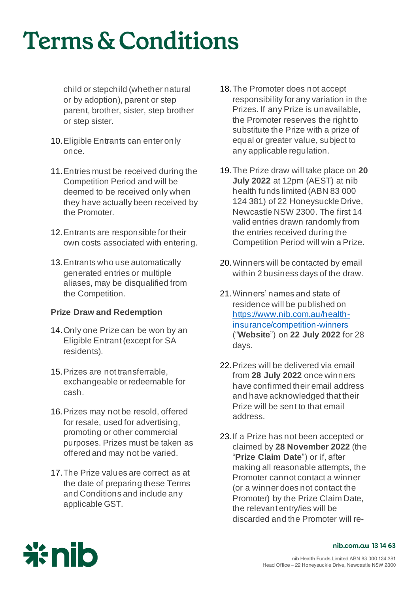child or stepchild (whether natural or by adoption), parent or step parent, brother, sister, step brother or step sister.

- 10.Eligible Entrants can enter only once.
- 11.Entries must be received during the Competition Period and will be deemed to be received only when they have actually been received by the Promoter.
- 12.Entrants are responsible for their own costs associated with entering.
- 13.Entrants who use automatically generated entries or multiple aliases, may be disqualified from the Competition.

### **Prize Draw and Redemption**

- 14.Only one Prize can be won by an Eligible Entrant (except for SA residents).
- 15.Prizes are not transferrable, exchangeable or redeemable for cash.
- 16.Prizes may not be resold, offered for resale, used for advertising, promoting or other commercial purposes. Prizes must be taken as offered and may not be varied.
- 17.The Prize values are correct as at the date of preparing these Terms and Conditions and include any applicable GST.
- 18.The Promoter does not accept responsibility for any variation in the Prizes. If any Prize is unavailable, the Promoter reserves the right to substitute the Prize with a prize of equal or greater value, subject to any applicable regulation.
- 19.The Prize draw will take place on **20 July 2022** at 12pm (AEST) at nib health funds limited (ABN 83 000 124 381) of 22 Honeysuckle Drive, Newcastle NSW 2300. The first 14 valid entries drawn randomly from the entries received during the Competition Period will win a Prize.
- 20.Winners will be contacted by email within 2 business days of the draw.
- 21.Winners' names and state of residence will be published on [https://www.nib.com.au/health](https://www.nib.com.au/health-insurance/competition-winners)[insurance/competition-winners](https://www.nib.com.au/health-insurance/competition-winners) ("**Website**") on **22 July 2022** for 28 days.
- 22.Prizes will be delivered via email from **28 July 2022** once winners have confirmed their email address and have acknowledged that their Prize will be sent to that email address.
- 23.If a Prize has not been accepted or claimed by **28 November 2022** (the "**Prize Claim Date**") or if, after making all reasonable attempts, the Promoter cannot contact a winner (or a winner does not contact the Promoter) by the Prize Claim Date, the relevant entry/ies will be discarded and the Promoter will re-

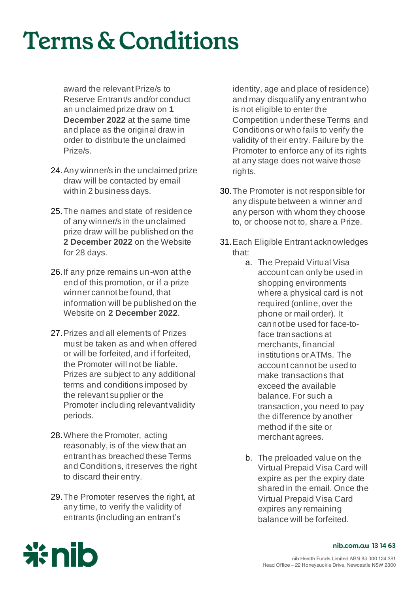award the relevant Prize/s to Reserve Entrant/s and/or conduct an unclaimed prize draw on **1 December 2022** at the same time and place as the original draw in order to distribute the unclaimed Prize/s.

- 24.Any winner/s in the unclaimed prize draw will be contacted by email within 2 business days.
- 25.The names and state of residence of any winner/s in the unclaimed prize draw will be published on the **2 December 2022** on the Website for 28 days.
- 26.If any prize remains un-won at the end of this promotion, or if a prize winner cannot be found, that information will be published on the Website on **2 December 2022**.
- 27.Prizes and all elements of Prizes must be taken as and when offered or will be forfeited, and if forfeited, the Promoter will not be liable. Prizes are subject to any additional terms and conditions imposed by the relevant supplier or the Promoter including relevant validity periods.
- 28.Where the Promoter, acting reasonably, is of the view that an entrant has breached these Terms and Conditions, it reserves the right to discard their entry.
- 29.The Promoter reserves the right, at any time, to verify the validity of entrants (including an entrant's

identity, age and place of residence) and may disqualify any entrant who is not eligible to enter the Competition under these Terms and Conditions or who fails to verify the validity of their entry. Failure by the Promoter to enforce any of its rights at any stage does not waive those rights.

- 30.The Promoter is not responsible for any dispute between a winner and any person with whom they choose to, or choose not to, share a Prize.
- 31.Each Eligible Entrant acknowledges that:
	- a. The Prepaid Virtual Visa account can only be used in shopping environments where a physical card is not required (online, over the phone or mail order). It cannot be used for face-toface transactions at merchants, financial institutions or ATMs. The account cannot be used to make transactions that exceed the available balance. For such a transaction, you need to pay the difference by another method if the site or merchant agrees.
	- b. The preloaded value on the Virtual Prepaid Visa Card will expire as per the expiry date shared in the email. Once the Virtual Prepaid Visa Card expires any remaining balance will be forfeited.

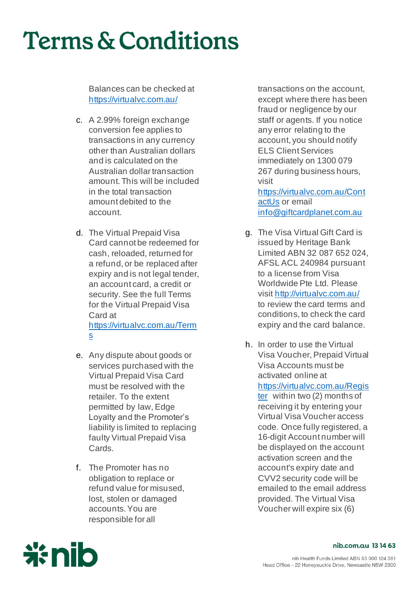Balances can be checked at <https://virtualvc.com.au/>

- c. A 2.99% foreign exchange conversion fee applies to transactions in any currency other than Australian dollars and is calculated on the Australian dollar transaction amount. This will be included in the total transaction amount debited to the account.
- d. The Virtual Prepaid Visa Card cannot be redeemed for cash, reloaded, returned for a refund, or be replaced after expiry and is not legal tender. an account card, a credit or security. See the full Terms for the Virtual Prepaid Visa Card at [https://virtualvc.com.au/Term](https://virtualvc.com.au/Terms) [s](https://virtualvc.com.au/Terms)
- e. Any dispute about goods or services purchased with the Virtual Prepaid Visa Card must be resolved with the retailer. To the extent permitted by law, Edge Loyalty and the Promoter's liability is limited to replacing faulty Virtual Prepaid Visa Cards.
- f. The Promoter has no obligation to replace or refund value for misused, lost, stolen or damaged accounts. You are responsible for all

transactions on the account, except where there has been fraud or negligence by our staff or agents. If you notice any error relating to the account, you should notify ELS Client Services immediately on 1300 079 267 during business hours, visit

[https://virtualvc.com.au/Cont](https://virtualvc.com.au/ContactUs) [actUs](https://virtualvc.com.au/ContactUs) or email [info@giftcardplanet.com.au](mailto:info@giftcardplanet.com.au)

- g. The Visa Virtual Gift Card is issued by Heritage Bank Limited ABN 32 087 652 024, AFSL ACL 240984 pursuant to a license from Visa Worldwide Pte Ltd. Please visi[t http://virtualvc.com.au/](http://virtualvc.com.au/)  to review the card terms and conditions, to check the card expiry and the card balance.
- h. In order to use the Virtual Visa Voucher, Prepaid Virtual Visa Accounts must be activated online at [https://virtualvc.com.au/Regis](https://virtualvc.com.au/Register) [ter](https://virtualvc.com.au/Register) within two (2) months of receiving it by entering your Virtual Visa Voucher access code. Once fully registered, a 16-digit Account number will be displayed on the account activation screen and the account's expiry date and CVV2 security code will be emailed to the email address provided. The Virtual Visa Voucher will expire six (6)

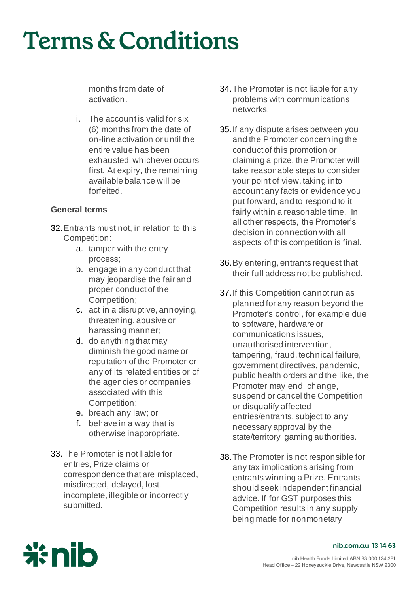months from date of activation.

i. The account is valid for six (6) months from the date of on-line activation or until the entire value has been exhausted, whichever occurs first. At expiry, the remaining available balance will be forfeited.

### **General terms**

- 32.Entrants must not, in relation to this Competition:
	- a. tamper with the entry process;
	- b. engage in any conduct that may jeopardise the fair and proper conduct of the Competition;
	- c. act in a disruptive, annoying, threatening, abusive or harassing manner;
	- d. do anything that may diminish the good name or reputation of the Promoter or any of its related entities or of the agencies or companies associated with this Competition;
	- e. breach any law; or
	- f. behave in a way that is otherwise inappropriate.
- 33.The Promoter is not liable for entries, Prize claims or correspondence that are misplaced, misdirected, delayed, lost, incomplete, illegible or incorrectly submitted.
- 34.The Promoter is not liable for any problems with communications networks.
- 35.If any dispute arises between you and the Promoter concerning the conduct of this promotion or claiming a prize, the Promoter will take reasonable steps to consider your point of view, taking into account any facts or evidence you put forward, and to respond to it fairly within a reasonable time. In all other respects, the Promoter's decision in connection with all aspects of this competition is final.
- 36.By entering, entrants request that their full address not be published.
- 37.If this Competition cannot run as planned for any reason beyond the Promoter's control, for example due to software, hardware or communications issues, unauthorised intervention, tampering, fraud, technical failure, government directives, pandemic, public health orders and the like, the Promoter may end, change, suspend or cancel the Competition or disqualify affected entries/entrants, subject to any necessary approval by the state/territory gaming authorities.
- 38.The Promoter is not responsible for any tax implications arising from entrants winning a Prize. Entrants should seek independent financial advice. If for GST purposes this Competition results in any supply being made for nonmonetary

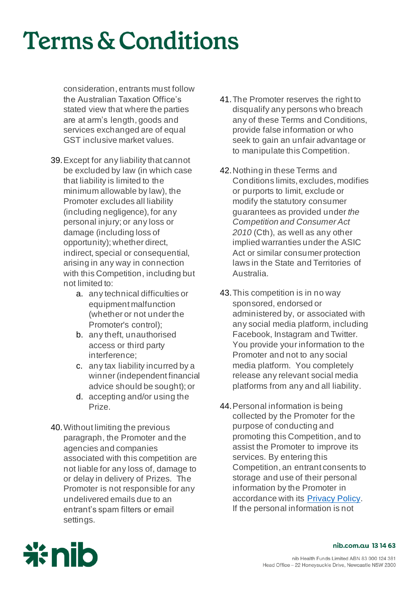consideration, entrants must follow the Australian Taxation Office's stated view that where the parties are at arm's length, goods and services exchanged are of equal GST inclusive market values.

- 39.Except for any liability that cannot be excluded by law (in which case that liability is limited to the minimum allowable by law), the Promoter excludes all liability (including negligence), for any personal injury; or any loss or damage (including loss of opportunity); whether direct, indirect, special or consequential, arising in any way in connection with this Competition, including but not limited to:
	- a. any technical difficulties or equipment malfunction (whether or not under the Promoter's control);
	- b. any theft, unauthorised access or third party interference;
	- c. any tax liability incurred by a winner (independent financial advice should be sought); or
	- d. accepting and/or using the Prize.
- 40.Without limiting the previous paragraph, the Promoter and the agencies and companies associated with this competition are not liable for any loss of, damage to or delay in delivery of Prizes. The Promoter is not responsible for any undelivered emails due to an entrant's spam filters or email settings.
- 41.The Promoter reserves the right to disqualify any persons who breach any of these Terms and Conditions, provide false information or who seek to gain an unfair advantage or to manipulate this Competition.
- 42.Nothing in these Terms and Conditions limits, excludes, modifies or purports to limit, exclude or modify the statutory consumer guarantees as provided under *the Competition and Consumer Act 2010* (Cth), as well as any other implied warranties under the ASIC Act or similar consumer protection laws in the State and Territories of Australia.
- 43.This competition is in no way sponsored, endorsed or administered by, or associated with any social media platform, including Facebook, Instagram and Twitter. You provide your information to the Promoter and not to any social media platform. You completely release any relevant social media platforms from any and all liability.
- 44.Personal information is being collected by the Promoter for the purpose of conducting and promoting this Competition, and to assist the Promoter to improve its services. By entering this Competition, an entrant consents to storage and use of their personal information by the Promoter in accordance with its [Privacy Policy](https://www.nib.com.au/legal/privacy-policy). If the personal information is not